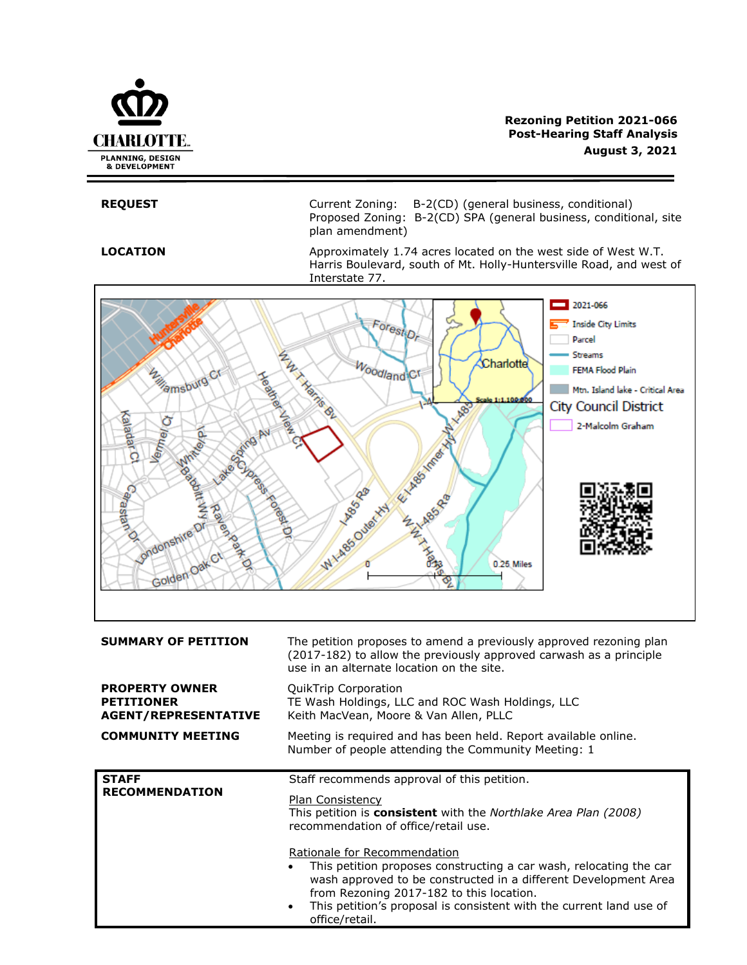

# **Rezoning Petition 2021-066 Post-Hearing Staff Analysis August 3, 2021**

**REQUEST** Current Zoning: B-2(CD) (general business, conditional) Proposed Zoning: B-2(CD) SPA (general business, conditional, site plan amendment)

**LOCATION** Approximately 1.74 acres located on the west side of West W.T. Harris Boulevard, south of Mt. Holly-Huntersville Road, and west of Interstate 77.



Rationale for Recommendation

- This petition proposes constructing a car wash, relocating the car wash approved to be constructed in a different Development Area from Rezoning 2017-182 to this location.
- This petition's proposal is consistent with the current land use of office/retail.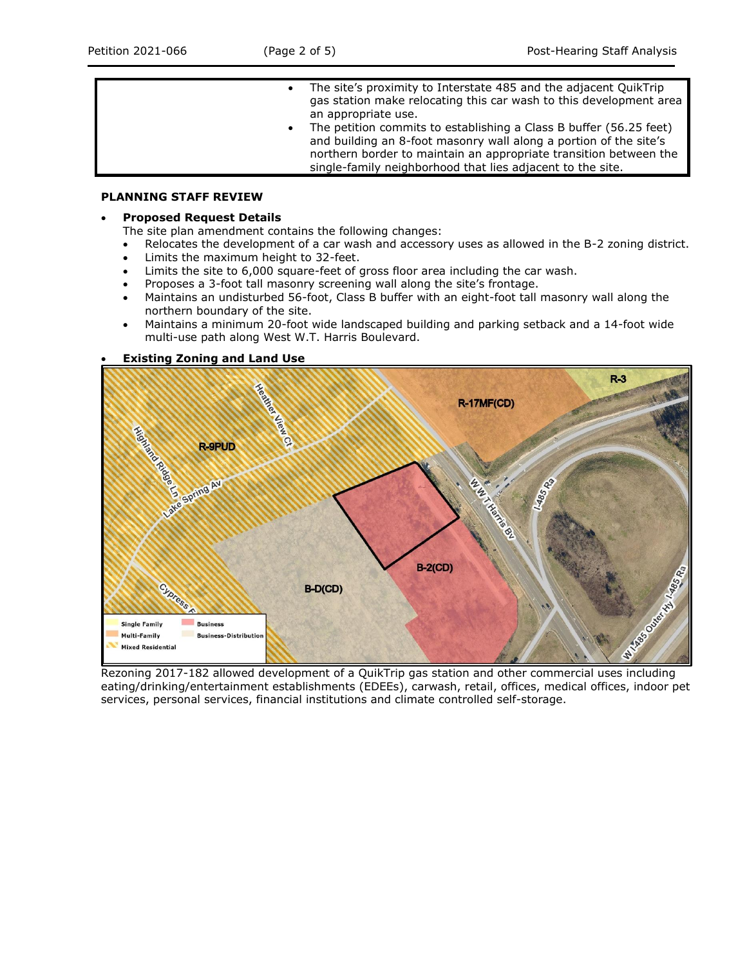- The site's proximity to Interstate 485 and the adjacent QuikTrip gas station make relocating this car wash to this development area an appropriate use. The petition commits to establishing a Class B buffer (56.25 feet)
	- and building an 8-foot masonry wall along a portion of the site's northern border to maintain an appropriate transition between the single-family neighborhood that lies adjacent to the site.

# **PLANNING STAFF REVIEW**

# • **Proposed Request Details**

The site plan amendment contains the following changes:

- Relocates the development of a car wash and accessory uses as allowed in the B-2 zoning district.
- Limits the maximum height to 32-feet.
- Limits the site to 6,000 square-feet of gross floor area including the car wash.
- Proposes a 3-foot tall masonry screening wall along the site's frontage.
- Maintains an undisturbed 56-foot, Class B buffer with an eight-foot tall masonry wall along the northern boundary of the site.
- Maintains a minimum 20-foot wide landscaped building and parking setback and a 14-foot wide multi-use path along West W.T. Harris Boulevard.

# • **Existing Zoning and Land Use**



eating/drinking/entertainment establishments (EDEEs), carwash, retail, offices, medical offices, indoor pet services, personal services, financial institutions and climate controlled self-storage.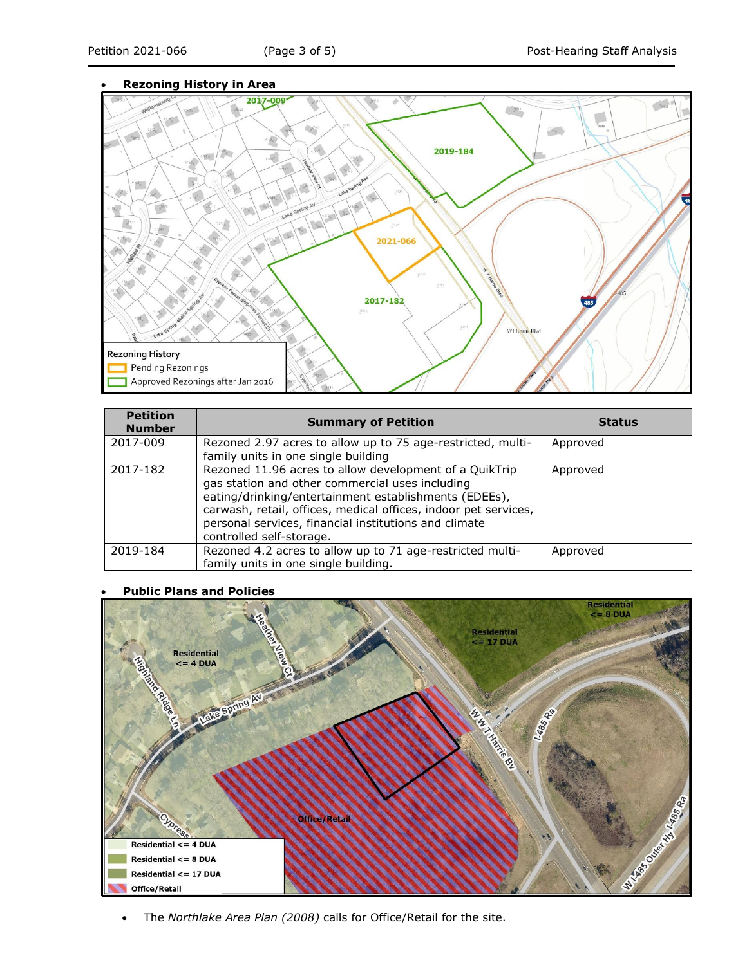# • **Rezoning History in Area**



| <b>Petition</b><br><b>Number</b> | <b>Summary of Petition</b>                                                                                                                                                                                                                                                                                                 | <b>Status</b> |
|----------------------------------|----------------------------------------------------------------------------------------------------------------------------------------------------------------------------------------------------------------------------------------------------------------------------------------------------------------------------|---------------|
| 2017-009                         | Rezoned 2.97 acres to allow up to 75 age-restricted, multi-<br>family units in one single building                                                                                                                                                                                                                         | Approved      |
| 2017-182                         | Rezoned 11.96 acres to allow development of a QuikTrip<br>gas station and other commercial uses including<br>eating/drinking/entertainment establishments (EDEEs),<br>carwash, retail, offices, medical offices, indoor pet services,<br>personal services, financial institutions and climate<br>controlled self-storage. | Approved      |
| 2019-184                         | Rezoned 4.2 acres to allow up to 71 age-restricted multi-<br>family units in one single building.                                                                                                                                                                                                                          | Approved      |

### • **Public Plans and Policies**



• The *Northlake Area Plan (2008)* calls for Office/Retail for the site.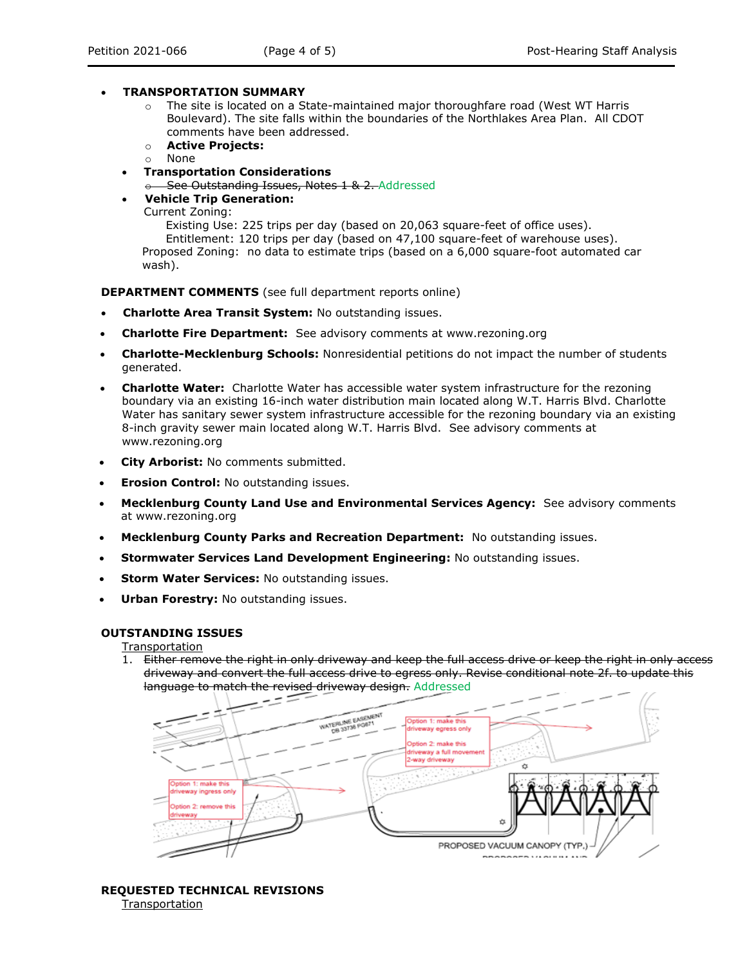# • **TRANSPORTATION SUMMARY**

- $\circ$  The site is located on a State-maintained major thoroughfare road (West WT Harris Boulevard). The site falls within the boundaries of the Northlakes Area Plan. All CDOT comments have been addressed.
- o **Active Projects:**
- o None
- **Transportation Considerations**
	- $\div$  See Outstanding Issues, Notes 1 & 2. Addressed
- **Vehicle Trip Generation:**
	- Current Zoning:

Existing Use: 225 trips per day (based on 20,063 square-feet of office uses). Entitlement: 120 trips per day (based on 47,100 square-feet of warehouse uses). Proposed Zoning: no data to estimate trips (based on a 6,000 square-foot automated car wash).

**DEPARTMENT COMMENTS** (see full department reports online)

- **Charlotte Area Transit System:** No outstanding issues.
- **Charlotte Fire Department:** See advisory comments at www.rezoning.org
- **Charlotte-Mecklenburg Schools:** Nonresidential petitions do not impact the number of students generated.
- **Charlotte Water:** Charlotte Water has accessible water system infrastructure for the rezoning boundary via an existing 16-inch water distribution main located along W.T. Harris Blvd. Charlotte Water has sanitary sewer system infrastructure accessible for the rezoning boundary via an existing 8-inch gravity sewer main located along W.T. Harris Blvd. See advisory comments at www.rezoning.org
- **City Arborist:** No comments submitted.
- **Erosion Control:** No outstanding issues.
- **Mecklenburg County Land Use and Environmental Services Agency:** See advisory comments at www.rezoning.org
- **Mecklenburg County Parks and Recreation Department:** No outstanding issues.
- **Stormwater Services Land Development Engineering:** No outstanding issues.
- **Storm Water Services: No outstanding issues.**
- **Urban Forestry:** No outstanding issues.

# **OUTSTANDING ISSUES**

Transportation

1. Either remove the right in only driveway and keep the full access drive or keep the right in only access driveway and convert the full access drive to egress only. Revise conditional note 2f. to update this language to match the revised driveway design. Addressed



# **REQUESTED TECHNICAL REVISIONS** Transportation